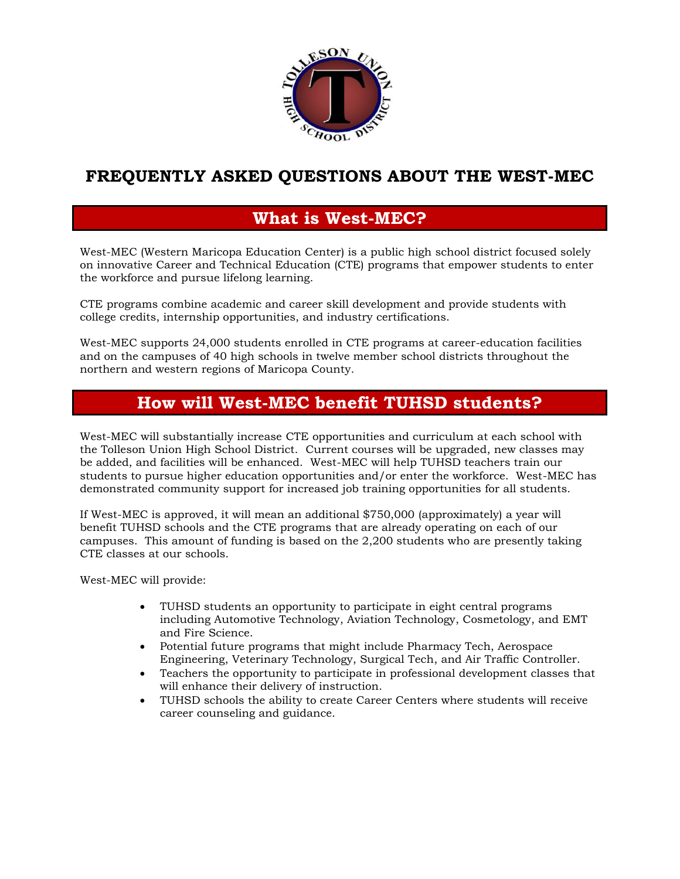

## **FREQUENTLY ASKED QUESTIONS ABOUT THE WEST-MEC**

## **What is West-MEC?**

West-MEC (Western Maricopa Education Center) is a public high school district focused solely on innovative Career and Technical Education (CTE) programs that empower students to enter the workforce and pursue lifelong learning.

CTE programs combine academic and career skill development and provide students with college credits, internship opportunities, and industry certifications.

West-MEC supports 24,000 students enrolled in CTE programs at career-education facilities and on the campuses of 40 high schools in twelve member school districts throughout the northern and western regions of Maricopa County.

## **How will West-MEC benefit TUHSD students?**

West-MEC will substantially increase CTE opportunities and curriculum at each school with the Tolleson Union High School District. Current courses will be upgraded, new classes may be added, and facilities will be enhanced. West-MEC will help TUHSD teachers train our students to pursue higher education opportunities and/or enter the workforce. West-MEC has demonstrated community support for increased job training opportunities for all students.

If West-MEC is approved, it will mean an additional \$750,000 (approximately) a year will benefit TUHSD schools and the CTE programs that are already operating on each of our campuses. This amount of funding is based on the 2,200 students who are presently taking CTE classes at our schools.

West-MEC will provide:

- TUHSD students an opportunity to participate in eight central programs including Automotive Technology, Aviation Technology, Cosmetology, and EMT and Fire Science.
- Potential future programs that might include Pharmacy Tech, Aerospace Engineering, Veterinary Technology, Surgical Tech, and Air Traffic Controller.
- Teachers the opportunity to participate in professional development classes that will enhance their delivery of instruction.
- TUHSD schools the ability to create Career Centers where students will receive career counseling and guidance.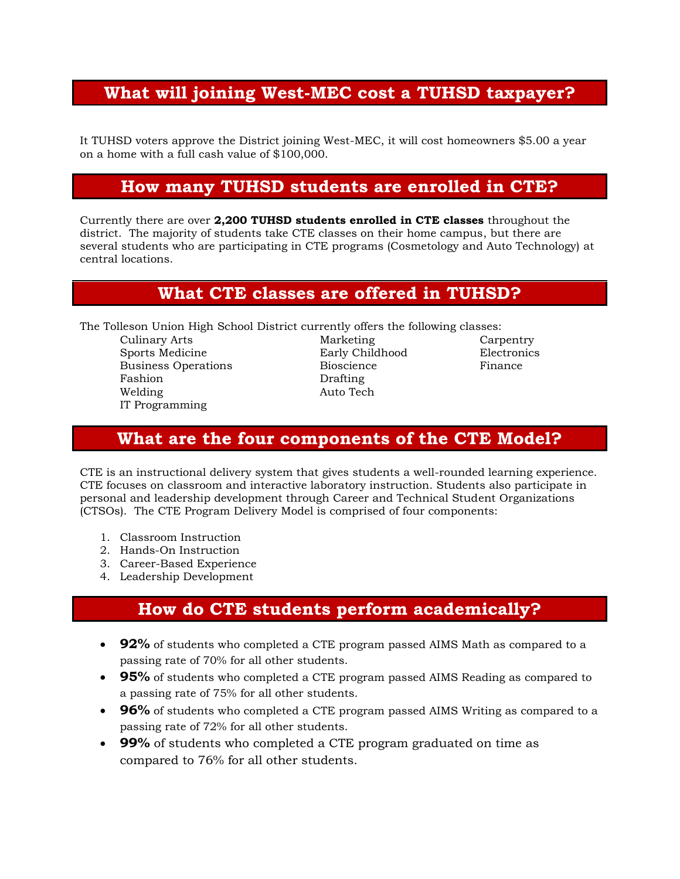## **What will joining West-MEC cost a TUHSD taxpayer?**

It TUHSD voters approve the District joining West-MEC, it will cost homeowners \$5.00 a year on a home with a full cash value of \$100,000.

### **How many TUHSD students are enrolled in CTE?**

Currently there are over **2,200 TUHSD students enrolled in CTE classes** throughout the district. The majority of students take CTE classes on their home campus, but there are several students who are participating in CTE programs (Cosmetology and Auto Technology) at central locations.

#### **What CTE classes are offered in TUHSD?**

The Tolleson Union High School District currently offers the following classes:

Culinary Arts Marketing Carpentry Sports Medicine Early Childhood Business Operations **Bioscience** Finance Fashion Drafting Welding Auto Tech IT Programming

### **What are the four components of the CTE Model?**

CTE is an instructional delivery system that gives students a well-rounded learning experience. CTE focuses on classroom and interactive laboratory instruction. Students also participate in personal and leadership development through Career and Technical Student Organizations (CTSOs). The CTE Program Delivery Model is comprised of four components:

- 1. Classroom Instruction
- 2. Hands-On Instruction
- 3. Career-Based Experience
- 4. Leadership Development

## **How do CTE students perform academically?**

- **92%** of students who completed a CTE program passed AIMS Math as compared to a passing rate of 70% for all other students.
- **95%** of students who completed a CTE program passed AIMS Reading as compared to a passing rate of 75% for all other students.
- **96%** of students who completed a CTE program passed AIMS Writing as compared to a passing rate of 72% for all other students.
- **99%** of students who completed a CTE program graduated on time as compared to 76% for all other students.